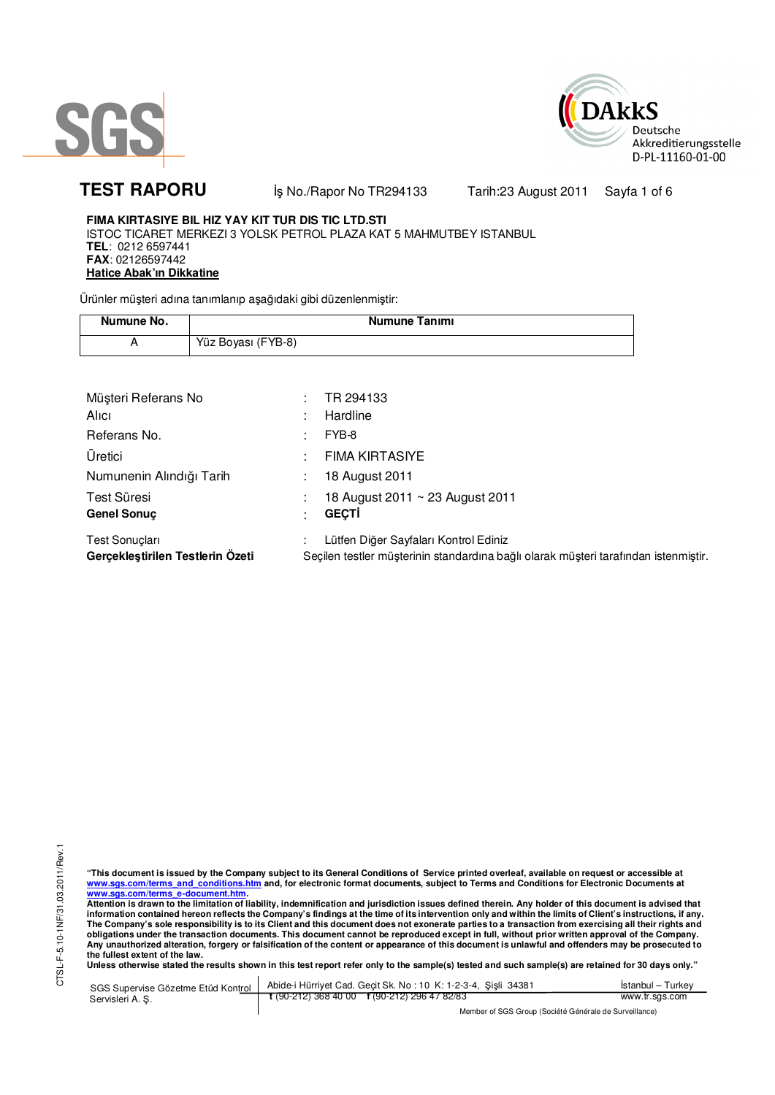



TEST RAPORU **by No./Rapor No TR294133** Tarih:23 August 2011 Sayfa 1 of 6

## **FIMA KIRTASIYE BIL HIZ YAY KIT TUR DIS TIC LTD.STI**

ISTOC TICARET MERKEZI 3 YOLSK PETROL PLAZA KAT 5 MAHMUTBEY ISTANBUL **TEL**: 0212 6597441 **FAX**: 02126597442 **Hatice Abak'ın Dikkatine**

Ürünler müşteri adına tanımlanıp aşağıdaki gibi düzenlenmiştir:

| Numune No. | Numune Tanımı      |
|------------|--------------------|
|            | Yüz Boyası (FYB-8) |

| Müşteri Referans No                                       | ٠ | TR 294133                                                                                                                    |
|-----------------------------------------------------------|---|------------------------------------------------------------------------------------------------------------------------------|
| Alici                                                     |   | Hardline                                                                                                                     |
| Referans No.                                              | ٠ | FYB-8                                                                                                                        |
| Üretici                                                   | ٠ | <b>FIMA KIRTASIYE</b>                                                                                                        |
| Numunenin Alındığı Tarih                                  |   | 18 August 2011                                                                                                               |
| Test Süresi                                               |   | 18 August 2011 ~ 23 August 2011                                                                                              |
| <b>Genel Sonuc</b>                                        |   | <b>GECTI</b>                                                                                                                 |
| <b>Test Sonuclari</b><br>Gerçekleştirilen Testlerin Özeti |   | Lütfen Diğer Sayfaları Kontrol Ediniz<br>Seçilen testler müşterinin standardına bağlı olarak müşteri tarafından istenmiştir. |

CTSL-F-5.10-1NF/31.03.2011/Rev.1 CTSL-F-5.10-1NF/31.03.2011/Rev.1

"This document is issued by the Company subject to its General Conditions of Service printed overleaf, available on request or accessible at<br>www.sgs.com/terms\_and\_conditions.htm\_and, for electronic format documents, subjec <mark>www.sgs.com/terms\_e-document.htm.</mark><br>Attention is drawn to the limitation of liability, indemnification and jurisdiction issues defined therein. Any holder of this document is advised that

information contained hereon reflects the Company's findings at the time of its intervention only and within the limits of Client's instructions, if any.<br>The Company's sole responsibility is to its Client and this document **obligations under the transaction documents. This document cannot be reproduced except in full, without prior written approval of the Company. Any unauthorized alteration, forgery or falsification of the content or appearance of this document is unlawful and offenders may be prosecuted to the fullest extent of the law.** 

**Unless otherwise stated the results shown in this test report refer only to the sample(s) tested and such sample(s) are retained for 30 days only."** 

SGS Supervise Gözetme Etüd Kontrol Servisleri A. Ş. Abide-i Hürriyet Cad. Geçit Sk. No : 10 K: 1-2-3-4, Şişli 34381 **t** (90-212) 368 40 00 **f** (90-212) 296 47 82/83 İstanbul – Turkey www.tr.sgs.com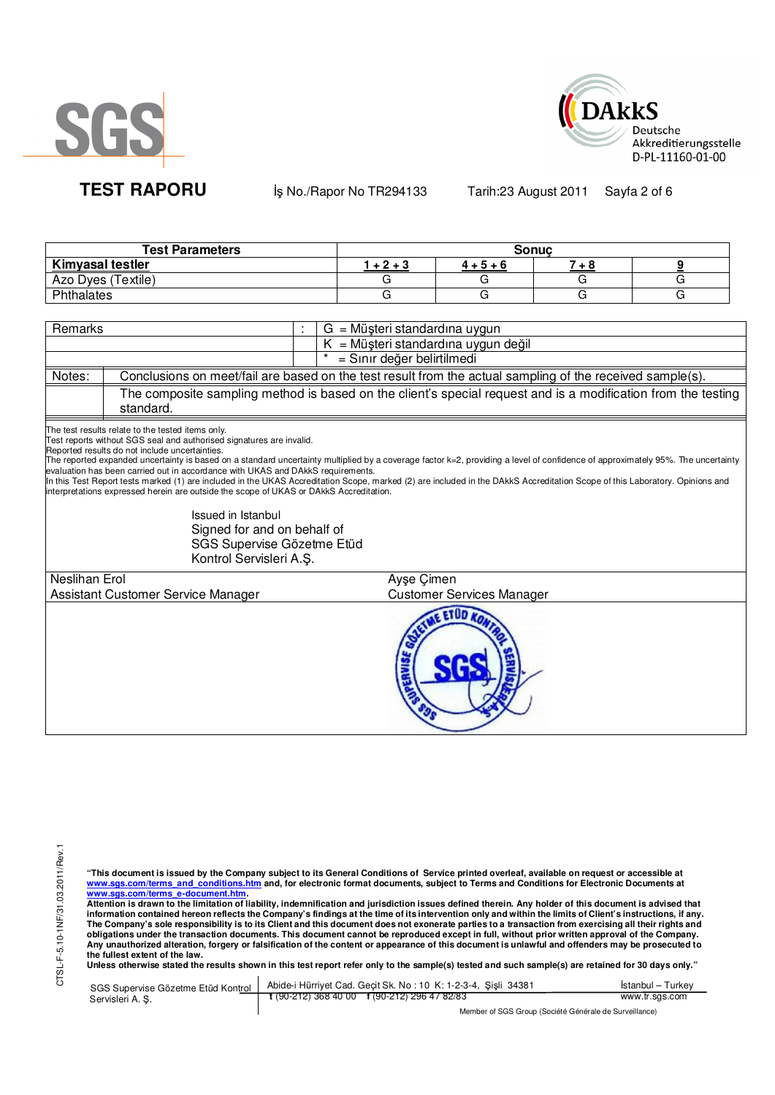



**TEST RAPORU b** iş No./Rapor No TR294133 Tarih:23 August 2011 Sayfa 2 of 6

| <b>Test Parameters</b>  | Sonuc  |             |     |  |  |
|-------------------------|--------|-------------|-----|--|--|
| <b>Kimyasal testler</b> | $+2+3$ | $4 + 5 + 6$ | - 6 |  |  |
| Azo Dyes (Textile)      |        |             |     |  |  |
| Phthalates              |        |             |     |  |  |

| Remarks       |                                                                                                                                                                                                                                                                                                                                                                                                                                                                        |                                                 | $G = M\ddot{\mu}$ şteri standardına uygun                                                                                                                                                                                                                                                                                                                       |  |  |  |
|---------------|------------------------------------------------------------------------------------------------------------------------------------------------------------------------------------------------------------------------------------------------------------------------------------------------------------------------------------------------------------------------------------------------------------------------------------------------------------------------|-------------------------------------------------|-----------------------------------------------------------------------------------------------------------------------------------------------------------------------------------------------------------------------------------------------------------------------------------------------------------------------------------------------------------------|--|--|--|
|               |                                                                                                                                                                                                                                                                                                                                                                                                                                                                        | $K = M\ddot{\mu}$ şteri standardına uygun değil |                                                                                                                                                                                                                                                                                                                                                                 |  |  |  |
|               | = Sınır değer belirtilmedi                                                                                                                                                                                                                                                                                                                                                                                                                                             |                                                 |                                                                                                                                                                                                                                                                                                                                                                 |  |  |  |
| Notes:        |                                                                                                                                                                                                                                                                                                                                                                                                                                                                        |                                                 | Conclusions on meet/fail are based on the test result from the actual sampling of the received sample(s).                                                                                                                                                                                                                                                       |  |  |  |
|               | standard.                                                                                                                                                                                                                                                                                                                                                                                                                                                              |                                                 | The composite sampling method is based on the client's special request and is a modification from the testing                                                                                                                                                                                                                                                   |  |  |  |
|               | The test results relate to the tested items only.<br>Test reports without SGS seal and authorised signatures are invalid.<br>Reported results do not include uncertainties.<br>evaluation has been carried out in accordance with UKAS and DAkkS requirements.<br>interpretations expressed herein are outside the scope of UKAS or DAKKS Accreditation.<br>Issued in Istanbul<br>Signed for and on behalf of<br>SGS Supervise Gözetme Etüd<br>Kontrol Servisleri A.Ş. |                                                 | The reported expanded uncertainty is based on a standard uncertainty multiplied by a coverage factor k=2, providing a level of confidence of approximately 95%. The uncertainty<br>In this Test Report tests marked (1) are included in the UKAS Accreditation Scope, marked (2) are included in the DAkkS Accreditation Scope of this Laboratory. Opinions and |  |  |  |
| Neslihan Erol |                                                                                                                                                                                                                                                                                                                                                                                                                                                                        |                                                 | Ayse Cimen                                                                                                                                                                                                                                                                                                                                                      |  |  |  |
|               | Assistant Customer Service Manager                                                                                                                                                                                                                                                                                                                                                                                                                                     |                                                 | <b>Customer Services Manager</b>                                                                                                                                                                                                                                                                                                                                |  |  |  |
|               |                                                                                                                                                                                                                                                                                                                                                                                                                                                                        |                                                 |                                                                                                                                                                                                                                                                                                                                                                 |  |  |  |

"This document is issued by the Company subject to its General Conditions of Service printed overleaf, available on request or accessible at<br>www.sgs.com/terms\_and\_conditions.htm\_and, for electronic format documents, subjec

<mark>www.sgs.com/terms\_e-document.htm.</mark><br>Attention is drawn to the limitation of liability, indemnification and jurisdiction issues defined therein. Any holder of this document is advised that information contained hereon reflects the Company's findings at the time of its intervention only and within the limits of Client's instructions, if any.<br>The Company's sole responsibility is to its Client and this document obligations under the transaction documents. This document cannot be reproduced except in full, without prior written approval of the Company.<br>Any unauthorized alteration, forgery or falsification of the content or appeara

| SGS Supervise Gözetme Etüd Kontrol | Abide-i Hürriyet Cad. Gecit Sk. No: 10 K: 1-2-3-4, Sisli 34381       | Istanbul - Turkey |
|------------------------------------|----------------------------------------------------------------------|-------------------|
| Servisleri A. S.                   | $\frac{1}{2}$ (90-212) 368 40 00 $\frac{1}{2}$ (90-212) 296 47 82/83 | www.tr.sgs.com    |
|                                    | Member of SGS Group (Société Générale de Surveillance)               |                   |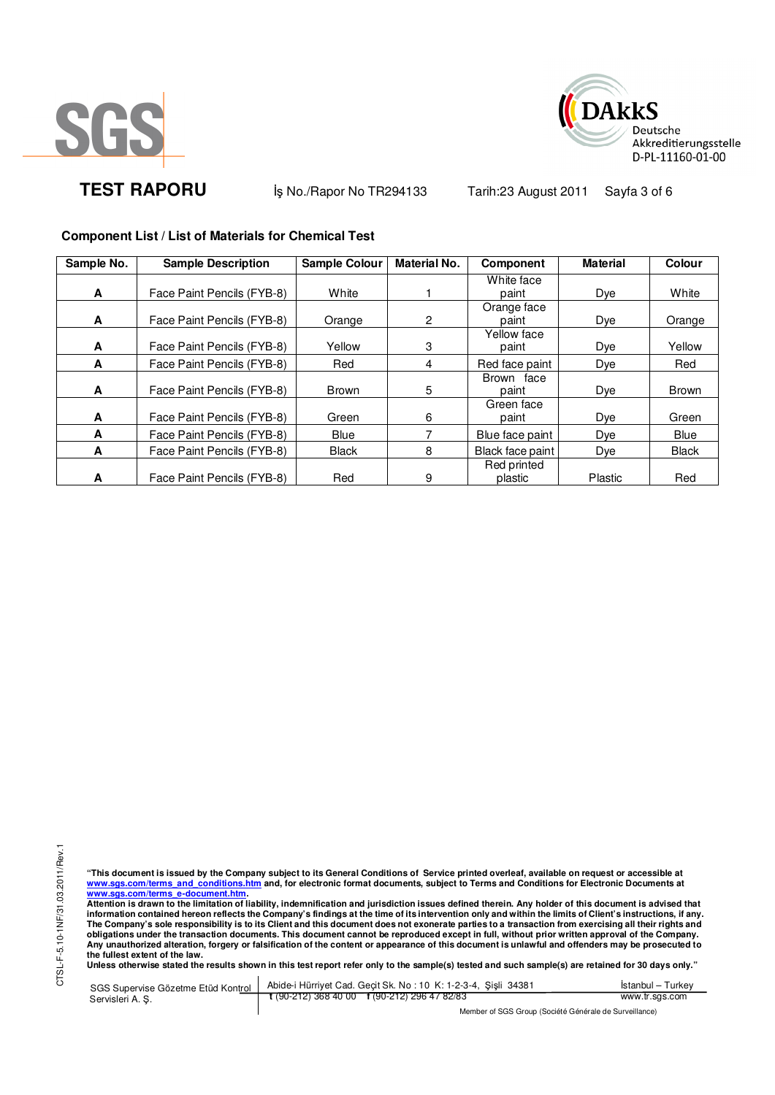



**TEST RAPORU** iş No./Rapor No TR294133 Tarih:23 August 2011 Sayfa 3 of 6

## **Component List / List of Materials for Chemical Test**

| Sample No. | <b>Sample Description</b>  | <b>Sample Colour</b> | <b>Material No.</b> | <b>Component</b> | <b>Material</b> | <b>Colour</b> |
|------------|----------------------------|----------------------|---------------------|------------------|-----------------|---------------|
|            |                            |                      |                     | White face       |                 |               |
| A          | Face Paint Pencils (FYB-8) | White                |                     | paint            | Dye             | White         |
|            |                            |                      |                     | Orange face      |                 |               |
| A          | Face Paint Pencils (FYB-8) | Orange               | $\overline{c}$      | paint            | Dye             | Orange        |
|            |                            |                      |                     | Yellow face      |                 |               |
| A          | Face Paint Pencils (FYB-8) | Yellow               | 3                   | paint            | Dye             | Yellow        |
| A          | Face Paint Pencils (FYB-8) | Red                  | 4                   | Red face paint   | Dye             | Red           |
|            |                            |                      |                     | Brown face       |                 |               |
| A          | Face Paint Pencils (FYB-8) | <b>Brown</b>         | 5                   | paint            | Dye             | <b>Brown</b>  |
|            |                            |                      |                     | Green face       |                 |               |
| A          | Face Paint Pencils (FYB-8) | Green                | 6                   | paint            | Dye             | Green         |
| A          | Face Paint Pencils (FYB-8) | <b>Blue</b>          |                     | Blue face paint  | Dye             | Blue          |
| A          | Face Paint Pencils (FYB-8) | <b>Black</b>         | 8                   | Black face paint | Dye             | <b>Black</b>  |
|            |                            |                      |                     | Red printed      |                 |               |
| A          | Face Paint Pencils (FYB-8) | Red                  | 9                   | plastic          | Plastic         | Red           |

CTSL-F-5.10-1NF/31.03.2011/Rev.1 CTSL-F-5.10-1NF/31.03.2011/Rev.1

"This document is issued by the Company subject to its General Conditions of Service printed overleaf, available on request or accessible at<br>www.sgs.com/terms\_and\_conditions.htm\_and, for electronic format documents, subjec <mark>www.sgs.com/terms\_e-document.htm.</mark><br>Attention is drawn to the limitation of liability, indemnification and jurisdiction issues defined therein. Any holder of this document is advised that

information contained hereon reflects the Company's findings at the time of its intervention only and within the limits of Client's instructions, if any.<br>The Company's sole responsibility is to its Client and this document obligations under the transaction documents. This document cannot be reproduced except in full, without prior written approval of the Company.<br>Any unauthorized alteration, forgery or falsification of the content or appeara

**Unless otherwise stated the results shown in this test report refer only to the sample(s) tested and such sample(s) are retained for 30 days only."** 

SGS Supervise Gözetme Etüd Kontrol Servisleri A. Ş. Abide-i Hürriyet Cad. Geçit Sk. No : 10 K: 1-2-3-4, Şişli 34381 **t** (90-212) 368 40 00 **f** (90-212) 296 47 82/83 İstanbul – Turkey www.tr.sgs.com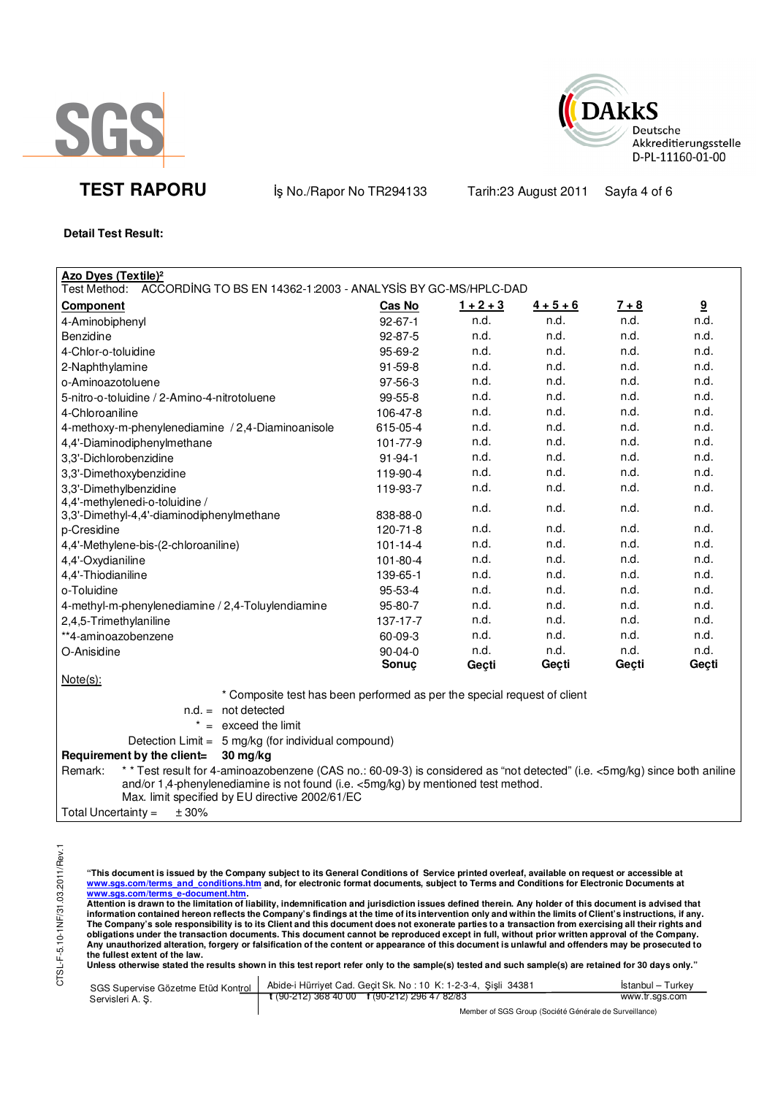



**TEST RAPORU** iş No./Rapor No TR294133 Tarih:23 August 2011 Sayfa 4 of 6

**Detail Test Result:** 

| Azo Dyes (Textile) <sup>2</sup>                                                                                                       |                     |             |             |              |                         |
|---------------------------------------------------------------------------------------------------------------------------------------|---------------------|-------------|-------------|--------------|-------------------------|
| Test Method: ACCORDING TO BS EN 14362-1:2003 - ANALYSIS BY GC-MS/HPLC-DAD                                                             |                     |             |             |              |                         |
| <b>Component</b>                                                                                                                      | Cas No              | $1 + 2 + 3$ | $4 + 5 + 6$ | <u>7 + 8</u> | $\overline{\mathbf{g}}$ |
| 4-Aminobiphenyl                                                                                                                       | $92 - 67 - 1$       | n.d.        | n.d.        | n.d.         | n.d.                    |
| Benzidine                                                                                                                             | 92-87-5             | n.d.        | n.d.        | n.d.         | n.d.                    |
| 4-Chlor-o-toluidine                                                                                                                   | 95-69-2             | n.d.        | n.d.        | n.d.         | n.d.                    |
| 2-Naphthylamine                                                                                                                       | $91 - 59 - 8$       | n.d.        | n.d.        | n.d.         | n.d.                    |
| o-Aminoazotoluene                                                                                                                     | 97-56-3             | n.d.        | n.d.        | n.d.         | n.d.                    |
| 5-nitro-o-toluidine / 2-Amino-4-nitrotoluene                                                                                          | 99-55-8             | n.d.        | n.d.        | n.d.         | n.d.                    |
| 4-Chloroaniline                                                                                                                       | 106-47-8            | n.d.        | n.d.        | n.d.         | n.d.                    |
| 4-methoxy-m-phenylenediamine / 2,4-Diaminoanisole                                                                                     | 615-05-4            | n.d.        | n.d.        | n.d.         | n.d.                    |
| 4,4'-Diaminodiphenylmethane                                                                                                           | 101-77-9            | n.d.        | n.d.        | n.d.         | n.d.                    |
| 3.3'-Dichlorobenzidine                                                                                                                | $91 - 94 - 1$       | n.d.        | n.d.        | n.d.         | n.d.                    |
| 3,3'-Dimethoxybenzidine                                                                                                               | 119-90-4            | n.d.        | n.d.        | n.d.         | n.d.                    |
| 3,3'-Dimethylbenzidine                                                                                                                | 119-93-7            | n.d.        | n.d.        | n.d.         | n.d.                    |
| 4,4'-methylenedi-o-toluidine /                                                                                                        | 838-88-0            | n.d.        | n.d.        | n.d.         | n.d.                    |
| 3,3'-Dimethyl-4,4'-diaminodiphenylmethane                                                                                             | $120 - 71 - 8$      | n.d.        | n.d.        | n.d.         | n.d.                    |
| p-Cresidine                                                                                                                           | $101 - 14 - 4$      | n.d.        | n.d.        | n.d.         | n.d.                    |
| 4,4'-Methylene-bis-(2-chloroaniline)                                                                                                  | 101-80-4            | n.d.        | n.d.        | n.d.         | n.d.                    |
| 4,4'-Oxydianiline                                                                                                                     |                     | n.d.        | n.d.        | n.d.         | n.d.                    |
| 4,4'-Thiodianiline<br>o-Toluidine                                                                                                     | 139-65-1<br>95-53-4 | n.d.        | n.d.        | n.d.         | n.d.                    |
|                                                                                                                                       | 95-80-7             | n.d.        | n.d.        | n.d.         | n.d.                    |
| 4-methyl-m-phenylenediamine / 2,4-Toluylendiamine                                                                                     | 137-17-7            | n.d.        | n.d.        | n.d.         | n.d.                    |
| 2,4,5-Trimethylaniline<br>**4-aminoazobenzene                                                                                         | 60-09-3             | n.d.        | n.d.        | n.d.         | n.d.                    |
| O-Anisidine                                                                                                                           | 90-04-0             | n.d.        | n.d.        | n.d.         | n.d.                    |
|                                                                                                                                       | Sonuç               | Geçti       | Geçti       | Geçti        | Geçti                   |
| $Note(s)$ :                                                                                                                           |                     |             |             |              |                         |
| * Composite test has been performed as per the special request of client                                                              |                     |             |             |              |                         |
| $n.d. = not detected$                                                                                                                 |                     |             |             |              |                         |
| $=$ exceed the limit                                                                                                                  |                     |             |             |              |                         |
| Detection Limit = $5 \text{ mg/kg}$ (for individual compound)                                                                         |                     |             |             |              |                         |
| Requirement by the client=<br>30 mg/kg                                                                                                |                     |             |             |              |                         |
| * * Test result for 4-aminoazobenzene (CAS no.: 60-09-3) is considered as "not detected" (i.e. <5mg/kg) since both aniline<br>Remark: |                     |             |             |              |                         |
| and/or 1,4-phenylenediamine is not found (i.e. <5mg/kg) by mentioned test method.                                                     |                     |             |             |              |                         |

Max. limit specified by EU directive 2002/61/EC

Total Uncertainty =  $\pm 30\%$ 

"This document is issued by the Company subject to its General Conditions of Service printed overleaf, available on request or accessible at<br>www.sgs.com/terms\_and\_conditions.htm\_and, for electronic format documents, subjec

<mark>www.sgs.com/terms\_e-document.htm.</mark><br>Attention is drawn to the limitation of liability, indemnification and jurisdiction issues defined therein. Any holder of this document is advised that information contained hereon reflects the Company's findings at the time of its intervention only and within the limits of Client's instructions, if any.<br>The Company's sole responsibility is to its Client and this document **obligations under the transaction documents. This document cannot be reproduced except in full, without prior written approval of the Company. Any unauthorized alteration, forgery or falsification of the content or appearance of this document is unlawful and offenders may be prosecuted to the fullest extent of the law.** 

Unless otherwise stated the results shown in this test report refer only to the sample(s) tested and such sample(s) are retained for 30 days only."

| SGS Supervise Gözetme Etüd Kontrol | Abide-i Hürriyet Cad. Gecit Sk. No: 10 K: 1-2-3-4, Sisli 34381 | Istanbul – Turkev |
|------------------------------------|----------------------------------------------------------------|-------------------|
| Servisleri A. S.                   | t (90-212) 368 40 00 f (90-212) 296 47 82/83                   | www.tr.sgs.com    |
|                                    | Mambar of PCP Crain (Pooint & Cánárola do Purvaillance)        |                   |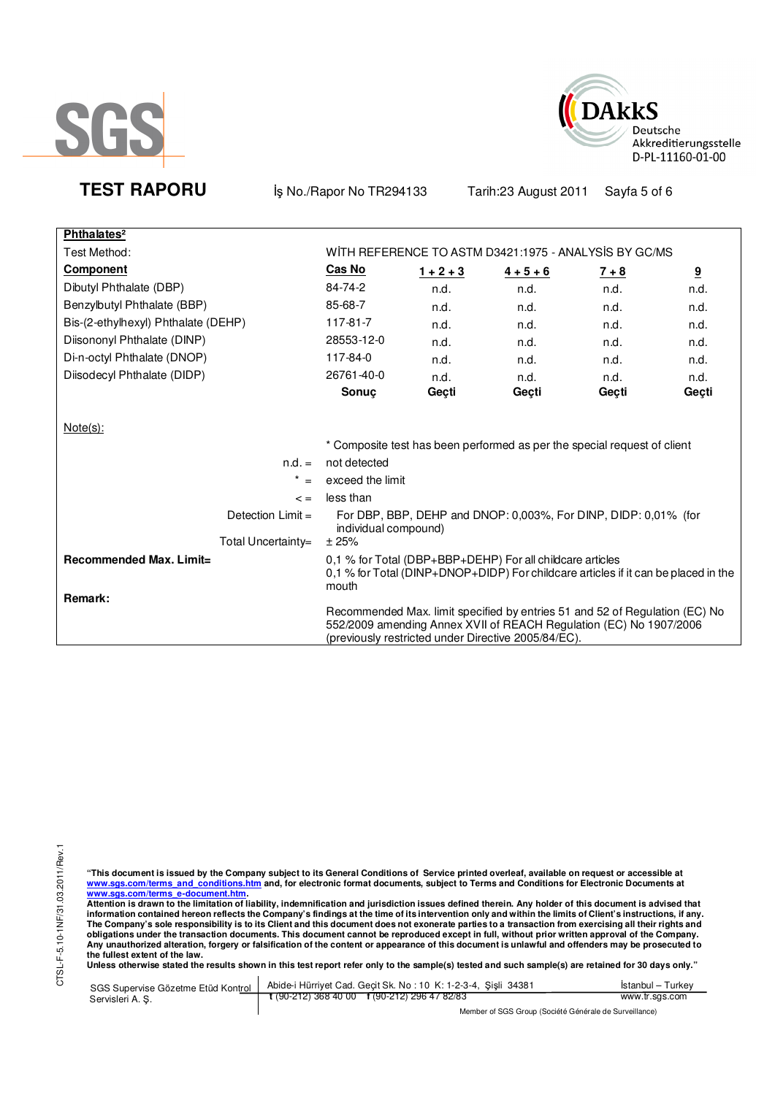



**TEST RAPORU b** iş No./Rapor No TR294133 Tarih:23 August 2011 Sayfa 5 of 6

| Phthalates <sup>2</sup>                   |                               |             |                                                                                                                                                                                                          |         |       |
|-------------------------------------------|-------------------------------|-------------|----------------------------------------------------------------------------------------------------------------------------------------------------------------------------------------------------------|---------|-------|
| Test Method:                              |                               |             | WITH REFERENCE TO ASTM D3421:1975 - ANALYSIS BY GC/MS                                                                                                                                                    |         |       |
| <b>Component</b>                          | Cas No                        | $1 + 2 + 3$ | $4 + 5 + 6$                                                                                                                                                                                              | $7 + 8$ | 9     |
| Dibutyl Phthalate (DBP)                   | 84-74-2                       | n.d.        | n.d.                                                                                                                                                                                                     | n.d.    | n.d.  |
| Benzylbutyl Phthalate (BBP)               | 85-68-7                       | n.d.        | n.d.                                                                                                                                                                                                     | n.d.    | n.d.  |
| Bis-(2-ethylhexyl) Phthalate (DEHP)       | 117-81-7                      | n.d.        | n.d.                                                                                                                                                                                                     | n.d.    | n.d.  |
| Diisononyl Phthalate (DINP)               | 28553-12-0                    | n.d.        | n.d.                                                                                                                                                                                                     | n.d.    | n.d.  |
| Di-n-octyl Phthalate (DNOP)               | 117-84-0                      | n.d.        | n.d.                                                                                                                                                                                                     | n.d.    | n.d.  |
| Diisodecyl Phthalate (DIDP)               | 26761-40-0                    | n.d.        | n.d.                                                                                                                                                                                                     | n.d.    | n.d.  |
|                                           | <b>Sonuc</b>                  | Geçti       | Geçti                                                                                                                                                                                                    | Geçti   | Geçti |
| $Note(s)$ :<br>$n.d. =$                   | not detected                  |             | * Composite test has been performed as per the special request of client                                                                                                                                 |         |       |
| $^\star$<br>$=$                           | exceed the limit              |             |                                                                                                                                                                                                          |         |       |
| $\leq$ $=$                                | less than                     |             |                                                                                                                                                                                                          |         |       |
| Detection $Limit =$<br>Total Uncertainty= | individual compound)<br>± 25% |             | For DBP, BBP, DEHP and DNOP: 0,003%, For DINP, DIDP: 0,01% (for                                                                                                                                          |         |       |
| Recommended Max. Limit=                   | mouth                         |             | 0,1 % for Total (DBP+BBP+DEHP) For all childcare articles<br>0,1 % for Total (DINP+DNOP+DIDP) For childcare articles if it can be placed in the                                                          |         |       |
| Remark:                                   |                               |             | Recommended Max. limit specified by entries 51 and 52 of Regulation (EC) No<br>552/2009 amending Annex XVII of REACH Regulation (EC) No 1907/2006<br>(previously restricted under Directive 2005/84/EC). |         |       |

"This document is issued by the Company subject to its General Conditions of Service printed overleaf, available on request or accessible at<br>www.sgs.com/terms\_and\_conditions.htm\_and, for electronic format documents, subjec

<u>www.sgs.com/terms\_e-document.htm.</u><br>Attention is drawn to the limitation of liability, indemnification and jurisdiction issues defined therein. Any holder of this document is advised that<br>information contained hereon refle obligations under the transaction documents. This document cannot be reproduced except in full, without prior written approval of the Company.<br>Any unauthorized alteration, forgery or falsification of the content or appeara

**Unless otherwise stated the results shown in this test report refer only to the sample(s) tested and such sample(s) are retained for 30 days only."** 

| SGS Supervise Gözetme Etüd Kontrol | Abide-i Hürriyet Cad. Gecit Sk. No: 10 K: 1-2-3-4, Sisli 34381 | Istanbul – Turkev |  |  |
|------------------------------------|----------------------------------------------------------------|-------------------|--|--|
| Servisleri A.S.                    | $\frac{1}{2}$ (90-212) 368 40 00 f (90-212) 296 47 82/83       | www.tr.sgs.com    |  |  |
|                                    | Member of SGS Group (Société Générale de Surveillance)         |                   |  |  |